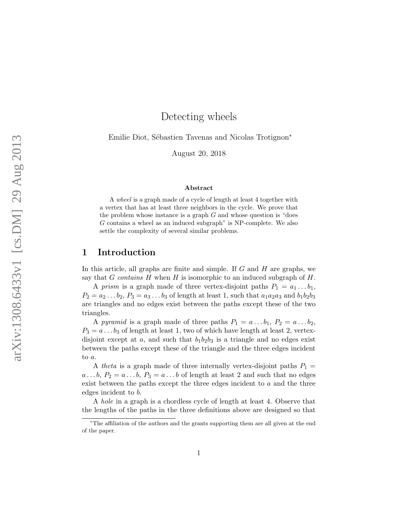# Detecting wheels

Emilie Diot, Sébastien Tavenas and Nicolas Trotignon<sup>\*</sup>

August 20, 2018

#### Abstract

A wheel is a graph made of a cycle of length at least 4 together with a vertex that has at least three neighbors in the cycle. We prove that the problem whose instance is a graph  $G$  and whose question is "does" G contains a wheel as an induced subgraph" is NP-complete. We also settle the complexity of several similar problems.

### 1 Introduction

In this article, all graphs are finite and simple. If G and H are graphs, we say that G contains H when H is isomorphic to an induced subgraph of  $H$ .

A prism is a graph made of three vertex-disjoint paths  $P_1 = a_1 \dots b_1$ ,  $P_2 = a_2 \dots b_2$ ,  $P_3 = a_3 \dots b_3$  of length at least 1, such that  $a_1 a_2 a_3$  and  $b_1 b_2 b_3$ are triangles and no edges exist between the paths except these of the two triangles.

A pyramid is a graph made of three paths  $P_1 = a \dots b_1$ ,  $P_2 = a \dots b_2$ ,  $P_3 = a \dots b_3$  of length at least 1, two of which have length at least 2, vertexdisjoint except at  $a$ , and such that  $b_1b_2b_3$  is a triangle and no edges exist between the paths except these of the triangle and the three edges incident to a.

A theta is a graph made of three internally vertex-disjoint paths  $P_1$  =  $a \ldots b$ ,  $P_2 = a \ldots b$ ,  $P_3 = a \ldots b$  of length at least 2 and such that no edges exist between the paths except the three edges incident to  $a$  and the three edges incident to b.

A hole in a graph is a chordless cycle of length at least 4. Observe that the lengths of the paths in the three definitions above are designed so that

<sup>∗</sup>The affiliation of the authors and the grants supporting them are all given at the end of the paper.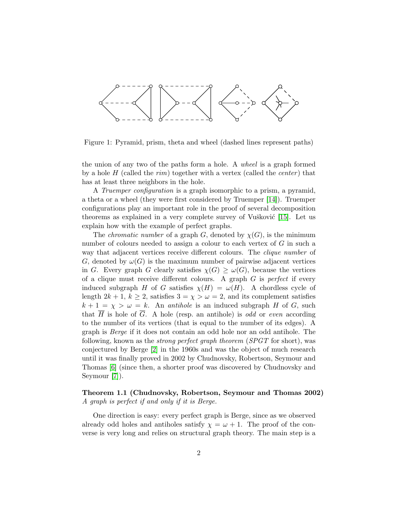

Figure 1: Pyramid, prism, theta and wheel (dashed lines represent paths)

the union of any two of the paths form a hole. A wheel is a graph formed by a hole H (called the rim) together with a vertex (called the *center*) that has at least three neighbors in the hole.

A Truemper configuration is a graph isomorphic to a prism, a pyramid, a theta or a wheel (they were first considered by Truemper [\[14\]](#page-13-0)). Truemper configurations play an important role in the proof of several decomposition theorems as explained in a very complete survey of Vu $\check{s}$ ković [\[15\]](#page-14-0). Let us explain how with the example of perfect graphs.

The *chromatic number* of a graph G, denoted by  $\chi(G)$ , is the minimum number of colours needed to assign a colour to each vertex of G in such a way that adjacent vertices receive different colours. The *clique number* of G, denoted by  $\omega(G)$  is the maximum number of pairwise adjacent vertices in G. Every graph G clearly satisfies  $\chi(G) \geq \omega(G)$ , because the vertices of a clique must receive different colours. A graph  $G$  is *perfect* if every induced subgraph H of G satisfies  $\chi(H) = \omega(H)$ . A chordless cycle of length  $2k + 1$ ,  $k \ge 2$ , satisfies  $3 = \chi > \omega = 2$ , and its complement satisfies  $k + 1 = \chi > \omega = k$ . An *antihole* is an induced subgraph H of G, such that  $\overline{H}$  is hole of  $\overline{G}$ . A hole (resp. an antihole) is odd or even according to the number of its vertices (that is equal to the number of its edges). A graph is Berge if it does not contain an odd hole nor an odd antihole. The following, known as the *strong perfect graph theorem* (SPGT for short), was conjectured by Berge [\[2\]](#page-13-1) in the 1960s and was the object of much research until it was finally proved in 2002 by Chudnovsky, Robertson, Seymour and Thomas [\[6\]](#page-13-2) (since then, a shorter proof was discovered by Chudnovsky and Seymour [\[7\]](#page-13-3)).

#### Theorem 1.1 (Chudnovsky, Robertson, Seymour and Thomas 2002) A graph is perfect if and only if it is Berge.

One direction is easy: every perfect graph is Berge, since as we observed already odd holes and antiholes satisfy  $\chi = \omega + 1$ . The proof of the converse is very long and relies on structural graph theory. The main step is a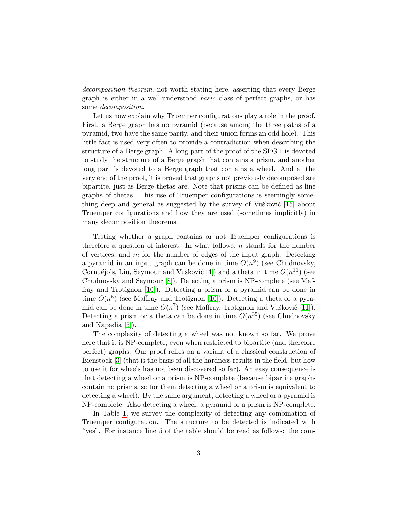decomposition theorem, not worth stating here, asserting that every Berge graph is either in a well-understood basic class of perfect graphs, or has some decomposition.

Let us now explain why Truemper configurations play a role in the proof. First, a Berge graph has no pyramid (because among the three paths of a pyramid, two have the same parity, and their union forms an odd hole). This little fact is used very often to provide a contradiction when describing the structure of a Berge graph. A long part of the proof of the SPGT is devoted to study the structure of a Berge graph that contains a prism, and another long part is devoted to a Berge graph that contains a wheel. And at the very end of the proof, it is proved that graphs not previously decomposed are bipartite, just as Berge thetas are. Note that prisms can be defined as line graphs of thetas. This use of Truemper configurations is seemingly some-thing deep and general as suggested by the survey of Vušković [\[15\]](#page-14-0) about Truemper configurations and how they are used (sometimes implicitly) in many decomposition theorems.

Testing whether a graph contains or not Truemper configurations is therefore a question of interest. In what follows,  $n$  stands for the number of vertices, and  $m$  for the number of edges of the input graph. Detecting a pyramid in an input graph can be done in time  $O(n^9)$  (see Chudnovsky, Cornuéjols, Liu, Seymour and Vušković [\[4\]](#page-13-4)) and a theta in time  $O(n^{11})$  (see Chudnovsky and Seymour [\[8\]](#page-13-5)). Detecting a prism is NP-complete (see Maffray and Trotignon [\[10\]](#page-13-6)). Detecting a prism or a pyramid can be done in time  $O(n^5)$  (see Maffray and Trotignon [\[10\]](#page-13-6)). Detecting a theta or a pyramid can be done in time  $O(n^7)$  (see Maffray, Trotignon and Vušković [\[11\]](#page-13-7)). Detecting a prism or a theta can be done in time  $O(n^{35})$  (see Chudnovsky and Kapadia [\[5\]](#page-13-8)).

The complexity of detecting a wheel was not known so far. We prove here that it is NP-complete, even when restricted to bipartite (and therefore perfect) graphs. Our proof relies on a variant of a classical construction of Bienstock [\[3\]](#page-13-9) (that is the basis of all the hardness results in the field, but how to use it for wheels has not been discovered so far). An easy consequence is that detecting a wheel or a prism is NP-complete (because bipartite graphs contain no prisms, so for them detecting a wheel or a prism is equivalent to detecting a wheel). By the same argument, detecting a wheel or a pyramid is NP-complete. Also detecting a wheel, a pyramid or a prism is NP-complete.

In Table [1,](#page-3-0) we survey the complexity of detecting any combination of Truemper configuration. The structure to be detected is indicated with "yes". For instance line 5 of the table should be read as follows: the com-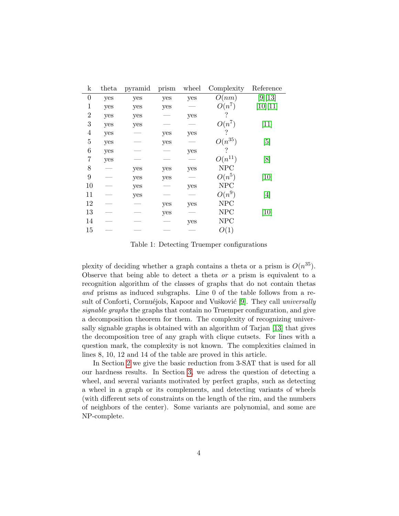| $\mathbf k$      | theta | pyramid                  | prism | wheel | Complexity  | Reference                     |
|------------------|-------|--------------------------|-------|-------|-------------|-------------------------------|
| $\overline{0}$   | yes   | yes                      | yes   | yes   | O(nm)       | [9] [13]                      |
| $\mathbf{1}$     | yes   | yes                      | yes   |       | $O(n^7)$    | [10][11]                      |
| $\overline{2}$   | yes   | yes                      |       | yes   | ?           |                               |
| 3                | yes   | yes                      |       |       | $O(n^7)$    | $[11]$                        |
| $\overline{4}$   | yes   |                          | yes   | yes   |             |                               |
| $\overline{5}$   | yes   |                          | yes   |       | $O(n^{35})$ | [5]                           |
| $\boldsymbol{6}$ | yes   |                          |       | yes   |             |                               |
| $\overline{7}$   | yes   |                          |       |       | $O(n^{11})$ | [8]                           |
| 8                |       | yes                      | yes   | yes   | NPC         |                               |
| 9                |       | yes                      | yes   |       | $O(n^5)$    | $\left\lceil 10 \right\rceil$ |
| 10               |       | yes                      |       | yes   | <b>NPC</b>  |                               |
| 11               |       | yes                      |       |       | $O(n^9)$    | [4]                           |
| 12               |       | $\overline{\phantom{0}}$ | yes   | yes   | <b>NPC</b>  |                               |
| 13               |       |                          | yes   |       | <b>NPC</b>  | [10]                          |
| 14               |       |                          |       | yes   | <b>NPC</b>  |                               |
| 15               |       |                          |       |       | O(1)        |                               |

<span id="page-3-0"></span>Table 1: Detecting Truemper configurations

plexity of deciding whether a graph contains a theta or a prism is  $O(n^{35})$ . Observe that being able to detect a theta or a prism is equivalent to a recognition algorithm of the classes of graphs that do not contain thetas and prisms as induced subgraphs. Line 0 of the table follows from a re-sult of Conforti, Cornuéjols, Kapoor and Vušković [\[9\]](#page-13-10). They call universally signable graphs the graphs that contain no Truemper configuration, and give a decomposition theorem for them. The complexity of recognizing universally signable graphs is obtained with an algorithm of Tarjan [\[13\]](#page-13-11) that gives the decomposition tree of any graph with clique cutsets. For lines with a question mark, the complexity is not known. The complexities claimed in lines 8, 10, 12 and 14 of the table are proved in this article.

In Section [2](#page-4-0) we give the basic reduction from 3-SAT that is used for all our hardness results. In Section [3,](#page-9-0) we adress the question of detecting a wheel, and several variants motivated by perfect graphs, such as detecting a wheel in a graph or its complements, and detecting variants of wheels (with different sets of constraints on the length of the rim, and the numbers of neighbors of the center). Some variants are polynomial, and some are NP-complete.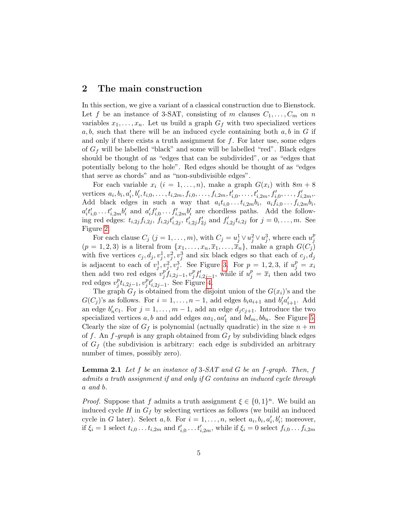### <span id="page-4-0"></span>2 The main construction

In this section, we give a variant of a classical construction due to Bienstock. Let f be an instance of 3-SAT, consisting of m clauses  $C_1, \ldots, C_m$  on n variables  $x_1, \ldots, x_n$ . Let us build a graph  $G_f$  with two specialized vertices  $a, b$ , such that there will be an induced cycle containing both  $a, b$  in  $G$  if and only if there exists a truth assignment for  $f$ . For later use, some edges of  $G_f$  will be labelled "black" and some will be labelled "red". Black edges should be thought of as "edges that can be subdivided", or as "edges that potentially belong to the hole". Red edges should be thought of as "edges that serve as chords" and as "non-subdivisible edges".

For each variable  $x_i$   $(i = 1, \ldots, n)$ , make a graph  $G(x_i)$  with  $8m + 8$ vertices  $a_i, b_i, a'_i, b'_i, t_{i,0}, \ldots, t_{i,2m}, f_{i,0}, \ldots, f_{i,2m}, t'_{i,0}, \ldots, t'_{i,2m}, f'_{i,0}, \ldots, f'_{i,2m}$ Add black edges in such a way that  $a_i t_{i,0} \dots t_{i,2m} b_i$ ,  $a_i f_{i,0} \dots f_{i,2m} b_i$ ,  $a'_i t'_{i,0} \ldots t'_{i,2m} b'_i$  and  $a'_i f'_{i,0} \ldots f'_{i,2m} b'_i$  are chordless paths. Add the following red edges:  $t_{i,2j} f_{i,2j}$ ,  $f_{i,2j} t'_{i,2j}$ ,  $t'_{i,2j} f'_{2j}$  and  $f'_{i,2j} t_{i,2j}$  for  $j = 0, ..., m$ . See Figure [2.](#page-5-0)

For each clause  $C_j$   $(j = 1, ..., m)$ , with  $C_j = u_j^1 \vee u_j^2 \vee u_j^3$ , where each  $u_j^p$ j  $(p = 1, 2, 3)$  is a literal from  $\{x_1, \ldots, x_n, \overline{x}_1, \ldots, \overline{x}_n\}$ , make a graph  $G(C_j)$ with five vertices  $c_j, d_j, v_j^1, v_j^2, v_j^3$  and six black edges so that each of  $c_j, d_j$ is adjacent to each of  $v_j^1, v_j^2, v_j^3$ . See Figure [3.](#page-5-1) For  $p = 1, 2, 3$ , if  $u_j^p = x_i$ then add two red edges  $v_i^p$  $_{j}^{p}f_{i,2j-1},v_{j}^{p}$  ${}_{j}^{p}f'_{i,2j-1}$ , while if  $u_{j}^{p} = \overline{x}_{i}$  then add two red edges  $v_j^p$  $_{j}^{p}t_{i,2j-1},v_{j}^{p}$  ${}_{j}^{p}t'_{i,2j-1}$ . See Figure [4.](#page-6-0)

The graph  $G_f$  is obtained from the disjoint union of the  $G(x_i)$ 's and the  $G(C_j)$ 's as follows. For  $i = 1, ..., n - 1$ , add edges  $b_i a_{i+1}$  and  $b'_i a'_{i+1}$ . Add an edge  $b'_nc_1$ . For  $j = 1, ..., m - 1$ , add an edge  $d_jc_{j+1}$ . Introduce the two specialized vertices  $a, b$  and add edges  $aa_1, aa'_1$  and  $bd_m, bb_n$ . See Figure [5.](#page-6-1) Clearly the size of  $G_f$  is polynomial (actually quadratic) in the size  $n + m$ of f. An f-graph is any graph obtained from  $G_f$  by subdividing black edges of  $G_f$  (the subdivision is arbitrary: each edge is subdivided an arbitrary number of times, possibly zero).

<span id="page-4-1"></span>**Lemma 2.1** Let f be an instance of  $3-SAT$  and G be an f-graph. Then, f admits a truth assignment if and only if G contains an induced cycle through a and b.

*Proof.* Suppose that f admits a truth assignment  $\xi \in \{0,1\}^n$ . We build an induced cycle H in  $G_f$  by selecting vertices as follows (we build an induced cycle in G later). Select a, b. For  $i = 1, ..., n$ , select  $a_i, b_i, a'_i, b'_i$ ; moreover, if  $\xi_i = 1$  select  $t_{i,0} \ldots t_{i,2m}$  and  $t'_{i,0} \ldots t'_{i,2m}$ , while if  $\xi_i = 0$  select  $f_{i,0} \ldots f_{i,2m}$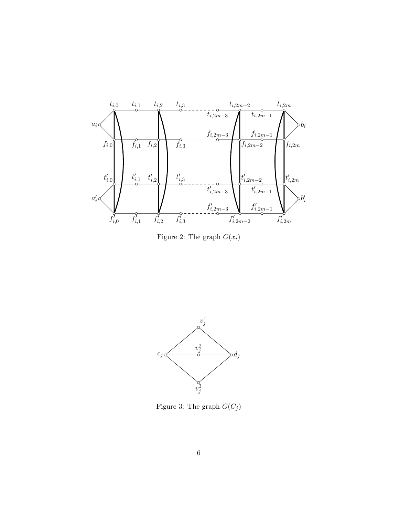

<span id="page-5-0"></span>Figure 2: The graph  $G(x_i)$ 



<span id="page-5-1"></span>Figure 3: The graph  ${\cal G}({\cal C}_j)$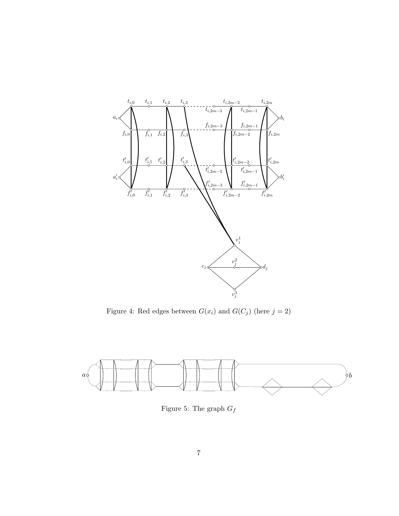

<span id="page-6-0"></span>Figure 4: Red edges between  $G(x_i)$  and  $G(C_j)$  (here  $j=2)$ 



<span id="page-6-1"></span>Figure 5: The graph  ${\cal G}_f$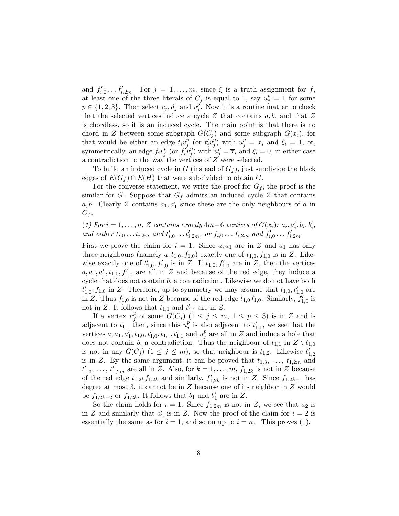and  $f'_{i,0} \ldots f'_{i,2m}$ . For  $j = 1, \ldots, m$ , since  $\xi$  is a truth assignment for f, at least one of the three literals of  $C_j$  is equal to 1, say  $u_j^p = 1$  for some  $p \in \{1, 2, 3\}$ . Then select  $c_j, d_j$  and  $v_j^p$  $_j^p$ . Now it is a routine matter to check that the selected vertices induce a cycle Z that contains  $a, b$ , and that Z is chordless, so it is an induced cycle. The main point is that there is no chord in Z between some subgraph  $G(C_j)$  and some subgraph  $G(x_i)$ , for that would be either an edge  $t_i v_j^{\bar{p}}$  $\bar{p}$  (or  $t'_i v_j^p$  $\left(\begin{array}{c} p \\ j \end{array}\right)$  with  $u_j^p = x_i$  and  $\xi_i = 1$ , or, symmetrically, an edge  $f_i v_j^p$  $\int\limits_j^p$  (or  $f'_i v_j^p$  $\left(\begin{array}{c} p \\ j \end{array}\right)$  with  $u_j^p = \overline{x}_i$  and  $\xi_i = 0$ , in either case a contradiction to the way the vertices of Z were selected.

To build an induced cycle in G (instead of  $G<sub>f</sub>$ ), just subdivide the black edges of  $E(G_f) \cap E(H)$  that were subdivided to obtain G.

For the converse statement, we write the proof for  $G_f$ , the proof is the similar for G. Suppose that  $G_f$  admits an induced cycle Z that contains a, b. Clearly Z contains  $a_1, a'_1$  since these are the only neighbours of a in  $G_f$ .

<span id="page-7-0"></span>(1) For  $i = 1, ..., n$ , Z contains exactly  $4m+6$  vertices of  $G(x_i)$ :  $a_i, a'_i, b_i, b'_i$ , and either  $t_{i,0} \ldots t_{i,2m}$  and  $t'_{i,0} \ldots t'_{i,2m}$ , or  $f_{i,0} \ldots f_{i,2m}$  and  $f'_{i,0} \ldots f'_{i,2m}$ .

First we prove the claim for  $i = 1$ . Since  $a, a_1$  are in Z and  $a_1$  has only three neighbours (namely  $a, t_{1,0}, f_{1,0}$ ) exactly one of  $t_{1,0}, f_{1,0}$  is in Z. Likewise exactly one of  $t'_{1,0}, f'_{1,0}$  is in Z. If  $t_{1,0}, f'_{1,0}$  are in Z, then the vertices  $a, a_1, a'_1, t_{1,0}, f'_{1,0}$  are all in Z and because of the red edge, they induce a cycle that does not contain b, a contradiction. Likewise we do not have both  $t'_{1,0}, f_{1,0}$  in Z. Therefore, up to symmetry we may assume that  $t_{1,0}, t'_{1,0}$  are in Z. Thus  $f_{1,0}$  is not in Z because of the red edge  $t_{1,0}f_{1,0}$ . Similarly,  $f'_{1,0}$  is not in Z. It follows that  $t_{1,1}$  and  $t'_{1,1}$  are in Z.

If a vertex  $u_i^p$  $_j^p$  of some  $G(C_j)$   $(1 \leq j \leq m, 1 \leq p \leq 3)$  is in Z and is adjacent to  $t_{1,1}$  then, since this  $u_i^p$  $j$  is also adjacent to  $t'_{1,1}$ , we see that the vertices  $a, a_1, a'_1, t_{1,0}, t'_{1,0}, t_{1,1}, t'_{1,1}$  and  $u_j^p$  $_j^p$  are all in Z and induce a hole that does not contain b, a contradiction. Thus the neighbour of  $t_{1,1}$  in  $Z \setminus t_{1,0}$ is not in any  $G(C_j)$   $(1 \leq j \leq m)$ , so that neighbour is  $t_{1,2}$ . Likewise  $t'_{1,2}$ is in Z. By the same argument, it can be proved that  $t_{1,3}, \ldots, t_{1,2m}$  and  $t'_{1,3}, \ldots, t'_{1,2m}$  are all in Z. Also, for  $k = 1, \ldots, m, f_{1,2k}$  is not in Z because of the red edge  $t_{1,2k}f_{1,2k}$  and similarly,  $f'_{1,2k}$  is not in Z. Since  $f_{1,2k-1}$  has degree at most 3, it cannot be in Z because one of its neighbor in Z would be  $f_{1,2k-2}$  or  $f_{1,2k}$ . It follows that  $b_1$  and  $b'_1$  are in Z.

So the claim holds for  $i = 1$ . Since  $f_{1,2m}$  is not in Z, we see that  $a_2$  is in Z and similarly that  $a'_2$  is in Z. Now the proof of the claim for  $i = 2$  is essentially the same as for  $i = 1$ , and so on up to  $i = n$ . This proves (1).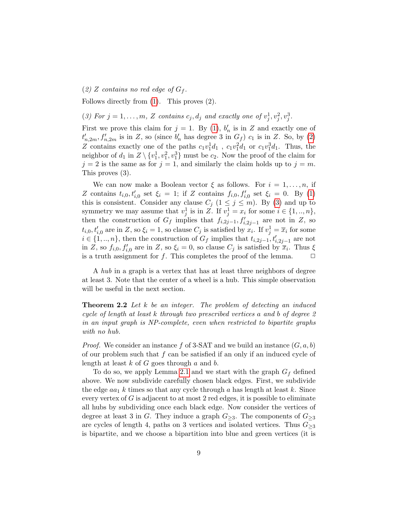<span id="page-8-0"></span>(2) Z contains no red edge of  $G_f$ .

Follows directly from [\(1\)](#page-7-0). This proves (2).

<span id="page-8-1"></span>(3) For  $j = 1, \ldots, m$ , Z contains  $c_j, d_j$  and exactly one of  $v_j^1, v_j^2, v_j^3$ .

First we prove this claim for  $j = 1$ . By [\(1\)](#page-7-0),  $b'_n$  is in Z and exactly one of  $t'_{n,2m}, f'_{n,2m}$  is in Z, so (since  $b'_n$  has degree 3 in  $G_f$ )  $c_1$  is in Z. So, by [\(2\)](#page-8-0) Z contains exactly one of the paths  $c_1v_1^1d_1$ ,  $c_1v_1^2d_1$  or  $c_1v_1^3d_1$ . Thus, the neighbor of  $d_1$  in  $Z \setminus \{v_1^1, v_1^2, v_1^3\}$  must be  $c_2$ . Now the proof of the claim for  $j = 2$  is the same as for  $j = 1$ , and similarly the claim holds up to  $j = m$ . This proves (3).

We can now make a Boolean vector  $\xi$  as follows. For  $i = 1, \ldots, n$ , if Z contains  $t_{i,0}, t'_{i,0}$  set  $\xi_i = 1$ ; if Z contains  $f_{i,0}, f'_{i,0}$  set  $\xi_i = 0$ . By [\(1\)](#page-7-0) this is consistent. Consider any clause  $C_j$   $(1 \leq j \leq m)$ . By [\(3\)](#page-8-1) and up to symmetry we may assume that  $v_j^1$  is in Z. If  $v_j^1 = x_i$  for some  $i \in \{1, ..., n\}$ , then the construction of  $G_f$  implies that  $f_{i,2j-1}, f'_{i,2j-1}$  are not in Z, so  $t_{i,0}, t'_{i,0}$  are in Z, so  $\xi_i = 1$ , so clause  $C_j$  is satisfied by  $x_i$ . If  $v_j^1 = \overline{x}_i$  for some  $i \in \{1, ..., n\}$ , then the construction of  $G_f$  implies that  $t_{i,2j-1}, t'_{i,2j-1}$  are not in Z, so  $f_{i,0}, f'_{i,0}$  are in Z, so  $\xi_i = 0$ , so clause  $C_j$  is satisfied by  $\overline{x}_i$ . Thus  $\xi$ is a truth assignment for f. This completes the proof of the lemma.  $\Box$ 

A hub in a graph is a vertex that has at least three neighbors of degree at least 3. Note that the center of a wheel is a hub. This simple observation will be useful in the next section.

<span id="page-8-2"></span>**Theorem 2.2** Let  $k$  be an integer. The problem of detecting an induced cycle of length at least k through two prescribed vertices a and b of degree 2 in an input graph is NP-complete, even when restricted to bipartite graphs with no hub.

*Proof.* We consider an instance f of 3-SAT and we build an instance  $(G, a, b)$ of our problem such that  $f$  can be satisfied if an only if an induced cycle of length at least  $k$  of  $G$  goes through  $a$  and  $b$ .

To do so, we apply Lemma [2.1](#page-4-1) and we start with the graph  $G_f$  defined above. We now subdivide carefully chosen black edges. First, we subdivide the edge  $aa_1$  k times so that any cycle through a has length at least k. Since every vertex of  $G$  is adjacent to at most 2 red edges, it is possible to eliminate all hubs by subdividing once each black edge. Now consider the vertices of degree at least 3 in G. They induce a graph  $G_{\geq 3}$ . The components of  $G_{\geq 3}$ are cycles of length 4, paths on 3 vertices and isolated vertices. Thus  $G_{\geq 3}$ is bipartite, and we choose a bipartition into blue and green vertices (it is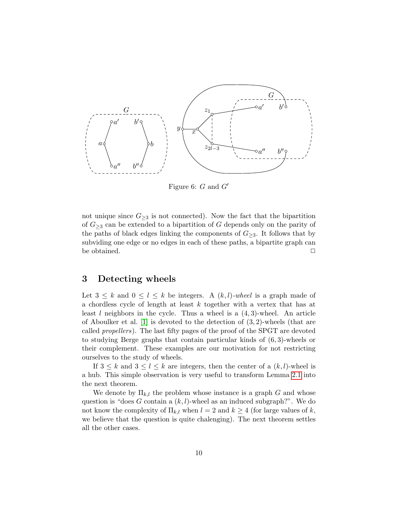

<span id="page-9-1"></span>Figure 6:  $G$  and  $G'$ 

not unique since  $G_{\geq 3}$  is not connected). Now the fact that the bipartition of  $G_{\geq 3}$  can be extended to a bipartition of G depends only on the parity of the paths of black edges linking the components of  $G_{\geq 3}$ . It follows that by subviding one edge or no edges in each of these paths, a bipartite graph can be obtained.  $\Box$ 

### <span id="page-9-0"></span>3 Detecting wheels

Let  $3 \leq k$  and  $0 \leq l \leq k$  be integers. A  $(k, l)$ -wheel is a graph made of a chordless cycle of length at least k together with a vertex that has at least l neighbors in the cycle. Thus a wheel is a  $(4,3)$ -wheel. An article of Aboulker et al. [\[1\]](#page-12-0) is devoted to the detection of (3, 2)-wheels (that are called propellers). The last fifty pages of the proof of the SPGT are devoted to studying Berge graphs that contain particular kinds of (6, 3)-wheels or their complement. These examples are our motivation for not restricting ourselves to the study of wheels.

If  $3 \leq k$  and  $3 \leq l \leq k$  are integers, then the center of a  $(k, l)$ -wheel is a hub. This simple observation is very useful to transform Lemma [2.1](#page-4-1) into the next theorem.

We denote by  $\Pi_{k,l}$  the problem whose instance is a graph G and whose question is "does G contain a  $(k, l)$ -wheel as an induced subgraph?". We do not know the complexity of  $\Pi_{k,l}$  when  $l = 2$  and  $k \geq 4$  (for large values of k, we believe that the question is quite chalenging). The next theorem settles all the other cases.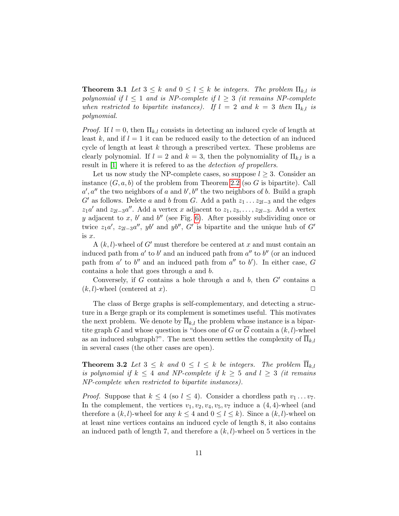**Theorem 3.1** Let  $3 \leq k$  and  $0 \leq l \leq k$  be integers. The problem  $\Pi_{k,l}$  is polynomial if  $l \leq 1$  and is NP-complete if  $l \geq 3$  (it remains NP-complete when restricted to bipartite instances). If  $l = 2$  and  $k = 3$  then  $\Pi_{k,l}$  is polynomial.

*Proof.* If  $l = 0$ , then  $\Pi_{k,l}$  consists in detecting an induced cycle of length at least k, and if  $l = 1$  it can be reduced easily to the detection of an induced cycle of length at least  $k$  through a prescribed vertex. These problems are clearly polynomial. If  $l = 2$  and  $k = 3$ , then the polynomiality of  $\Pi_{k,l}$  is a result in [\[1\]](#page-12-0) where it is refered to as the *detection of propellers*.

Let us now study the NP-complete cases, so suppose  $l \geq 3$ . Consider an instance  $(G, a, b)$  of the problem from Theorem [2.2](#page-8-2) (so G is bipartite). Call  $a', a''$  the two neighbors of a and  $b', b''$  the two neighbors of b. Build a graph G' as follows. Delete a and b from G. Add a path  $z_1 \ldots z_{2l-3}$  and the edges  $z_1a'$  and  $z_{2l-3}a''$ . Add a vertex x adjacent to  $z_1, z_3, \ldots, z_{2l-3}$ . Add a vertex y adjacent to x, b' and b'' (see Fig. [6\)](#page-9-1). After possibly subdividing once or twice  $z_1a'$ ,  $z_{2l-3}a''$ , yb' and yb'', G' is bipartite and the unique hub of G' is x.

A  $(k, l)$ -wheel of G' must therefore be centered at x and must contain an induced path from  $a'$  to  $b'$  and an induced path from  $a''$  to  $b''$  (or an induced path from  $a'$  to  $b''$  and an induced path from  $a''$  to  $b'$ ). In either case, G contains a hole that goes through a and b.

Conversely, if  $G$  contains a hole through  $a$  and  $b$ , then  $G'$  contains a  $(k, l)$ -wheel (centered at x).

The class of Berge graphs is self-complementary, and detecting a structure in a Berge graph or its complement is sometimes useful. This motivates the next problem. We denote by  $\Pi_{k,l}$  the problem whose instance is a bipartite graph G and whose question is "does one of G or  $\overline{G}$  contain a  $(k, l)$ -wheel as an induced subgraph?". The next theorem settles the complexity of  $\Pi_{k,l}$ in several cases (the other cases are open).

**Theorem 3.2** Let  $3 \leq k$  and  $0 \leq l \leq k$  be integers. The problem  $\overline{\Pi}_{k,l}$ is polynomial if  $k \leq 4$  and NP-complete if  $k \geq 5$  and  $l \geq 3$  (it remains NP-complete when restricted to bipartite instances).

*Proof.* Suppose that  $k \leq 4$  (so  $l \leq 4$ ). Consider a chordless path  $v_1 \ldots v_7$ . In the complement, the vertices  $v_1, v_2, v_4, v_5, v_7$  induce a  $(4, 4)$ -wheel (and therefore a  $(k, l)$ -wheel for any  $k \leq 4$  and  $0 \leq l \leq k$ ). Since a  $(k, l)$ -wheel on at least nine vertices contains an induced cycle of length 8, it also contains an induced path of length 7, and therefore a  $(k, l)$ -wheel on 5 vertices in the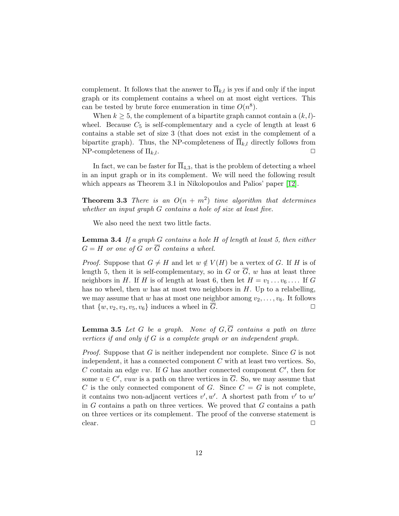complement. It follows that the answer to  $\overline{\Pi}_{k,l}$  is yes if and only if the input graph or its complement contains a wheel on at most eight vertices. This can be tested by brute force enumeration in time  $O(n^8)$ .

When  $k \geq 5$ , the complement of a bipartite graph cannot contain a  $(k, l)$ wheel. Because  $C_5$  is self-complementary and a cycle of length at least 6 contains a stable set of size 3 (that does not exist in the complement of a bipartite graph). Thus, the NP-completeness of  $\Pi_{k,l}$  directly follows from NP-completeness of  $\Pi_{k,l}$ .

In fact, we can be faster for  $\Pi_{4,3}$ , that is the problem of detecting a wheel in an input graph or in its complement. We will need the following result which appears as Theorem 3.1 in Nikolopoulos and Palios' paper [\[12\]](#page-13-12).

<span id="page-11-0"></span>**Theorem 3.3** There is an  $O(n + m^2)$  time algorithm that determines whether an input graph G contains a hole of size at least five.

We also need the next two little facts.

<span id="page-11-1"></span>**Lemma 3.4** If a graph  $G$  contains a hole  $H$  of length at least 5, then either  $G = H$  or one of G or  $\overline{G}$  contains a wheel.

*Proof.* Suppose that  $G \neq H$  and let  $w \notin V(H)$  be a vertex of G. If H is of length 5, then it is self-complementary, so in G or  $\overline{G}$ , w has at least three neighbors in H. If H is of length at least 6, then let  $H = v_1 \dots v_6 \dots$  If G has no wheel, then  $w$  has at most two neighbors in  $H$ . Up to a relabelling, we may assume that w has at most one neighbor among  $v_2, \ldots, v_6$ . It follows that  $\{w, v_2, v_3, v_5, v_6\}$  induces a wheel in G.

<span id="page-11-2"></span>**Lemma 3.5** Let G be a graph. None of  $G, \overline{G}$  contains a path on three vertices if and only if  $G$  is a complete graph or an independent graph.

<span id="page-11-3"></span>*Proof.* Suppose that G is neither independent nor complete. Since  $G$  is not independent, it has a connected component  $C$  with at least two vertices. So, C contain an edge  $vw$ . If G has another connected component  $C'$ , then for some  $u \in C'$ , vuw is a path on three vertices in  $\overline{G}$ . So, we may assume that C is the only connected component of G. Since  $C = G$  is not complete, it contains two non-adjacent vertices  $v', w'$ . A shortest path from  $v'$  to  $w'$ in  $G$  contains a path on three vertices. We proved that  $G$  contains a path on three vertices or its complement. The proof of the converse statement is  $\Box$   $\Box$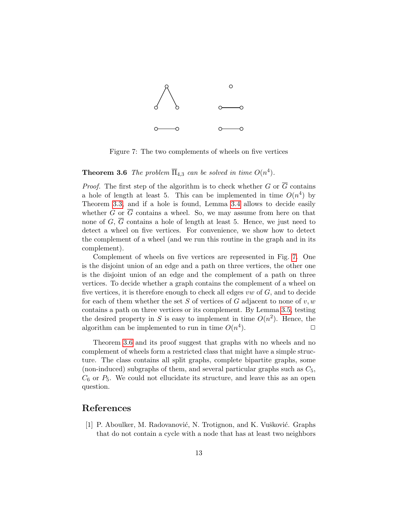

<span id="page-12-1"></span>Figure 7: The two complements of wheels on five vertices

## **Theorem 3.6** The problem  $\overline{\Pi}_{4,3}$  can be solved in time  $O(n^4)$ .

*Proof.* The first step of the algorithm is to check whether G or  $\overline{G}$  contains a hole of length at least 5. This can be implemented in time  $O(n^4)$  by Theorem [3.3,](#page-11-0) and if a hole is found, Lemma [3.4](#page-11-1) allows to decide easily whether G or  $\overline{G}$  contains a wheel. So, we may assume from here on that none of G,  $\overline{G}$  contains a hole of length at least 5. Hence, we just need to detect a wheel on five vertices. For convenience, we show how to detect the complement of a wheel (and we run this routine in the graph and in its complement).

Complement of wheels on five vertices are represented in Fig. [7.](#page-12-1) One is the disjoint union of an edge and a path on three vertices, the other one is the disjoint union of an edge and the complement of a path on three vertices. To decide whether a graph contains the complement of a wheel on five vertices, it is therefore enough to check all edges  $vw$  of  $G$ , and to decide for each of them whether the set S of vertices of G adjacent to none of  $v, w$ contains a path on three vertices or its complement. By Lemma [3.5,](#page-11-2) testing the desired property in S is easy to implement in time  $O(n^2)$ . Hence, the algorithm can be implemented to run in time  $O(n^4)$ ).  $\qquad \qquad \Box$ 

Theorem [3.6](#page-11-3) and its proof suggest that graphs with no wheels and no complement of wheels form a restricted class that might have a simple structure. The class contains all split graphs, complete bipartite graphs, some (non-induced) subgraphs of them, and several particular graphs such as  $C_5$ ,  $C_6$  or  $P_5$ . We could not ellucidate its structure, and leave this as an open question.

## References

<span id="page-12-0"></span>[1] P. Aboulker, M. Radovanović, N. Trotignon, and K. Vušković. Graphs that do not contain a cycle with a node that has at least two neighbors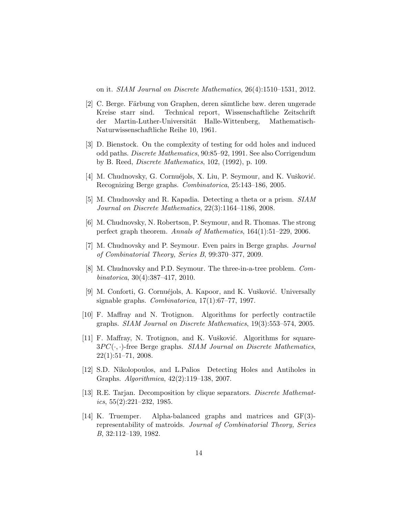on it. SIAM Journal on Discrete Mathematics, 26(4):1510–1531, 2012.

- <span id="page-13-1"></span>[2] C. Berge. Färbung von Graphen, deren sämtliche bzw. deren ungerade Kreise starr sind. Technical report, Wissenschaftliche Zeitschrift der Martin-Luther-Universität Halle-Wittenberg, Mathematisch-Naturwissenschaftliche Reihe 10, 1961.
- <span id="page-13-9"></span>[3] D. Bienstock. On the complexity of testing for odd holes and induced odd paths. Discrete Mathematics, 90:85–92, 1991. See also Corrigendum by B. Reed, Discrete Mathematics, 102, (1992), p. 109.
- <span id="page-13-4"></span>[4] M. Chudnovsky, G. Cornuéjols, X. Liu, P. Seymour, and K. Vušković. Recognizing Berge graphs. Combinatorica, 25:143–186, 2005.
- <span id="page-13-8"></span>[5] M. Chudnovsky and R. Kapadia. Detecting a theta or a prism. SIAM Journal on Discrete Mathematics, 22(3):1164–1186, 2008.
- <span id="page-13-2"></span>[6] M. Chudnovsky, N. Robertson, P. Seymour, and R. Thomas. The strong perfect graph theorem. Annals of Mathematics, 164(1):51–229, 2006.
- <span id="page-13-3"></span>[7] M. Chudnovsky and P. Seymour. Even pairs in Berge graphs. Journal of Combinatorial Theory, Series B, 99:370–377, 2009.
- <span id="page-13-5"></span>[8] M. Chudnovsky and P.D. Seymour. The three-in-a-tree problem. Combinatorica, 30(4):387–417, 2010.
- <span id="page-13-10"></span>[9] M. Conforti, G. Cornuéjols, A. Kapoor, and K. Vušković. Universally signable graphs. Combinatorica, 17(1):67–77, 1997.
- <span id="page-13-6"></span>[10] F. Maffray and N. Trotignon. Algorithms for perfectly contractile graphs. SIAM Journal on Discrete Mathematics, 19(3):553–574, 2005.
- <span id="page-13-7"></span> $[11]$  F. Maffray, N. Trotignon, and K. Vušković. Algorithms for square- $3PC(\cdot, \cdot)$ -free Berge graphs. *SIAM Journal on Discrete Mathematics*,  $22(1):51-71, 2008.$
- <span id="page-13-12"></span>[12] S.D. Nikolopoulos, and L.Palios Detecting Holes and Antiholes in Graphs. Algorithmica, 42(2):119–138, 2007.
- <span id="page-13-11"></span>[13] R.E. Tarjan. Decomposition by clique separators. Discrete Mathemat $ics, 55(2):221-232, 1985.$
- <span id="page-13-0"></span>[14] K. Truemper. Alpha-balanced graphs and matrices and GF(3) representability of matroids. Journal of Combinatorial Theory, Series B, 32:112–139, 1982.